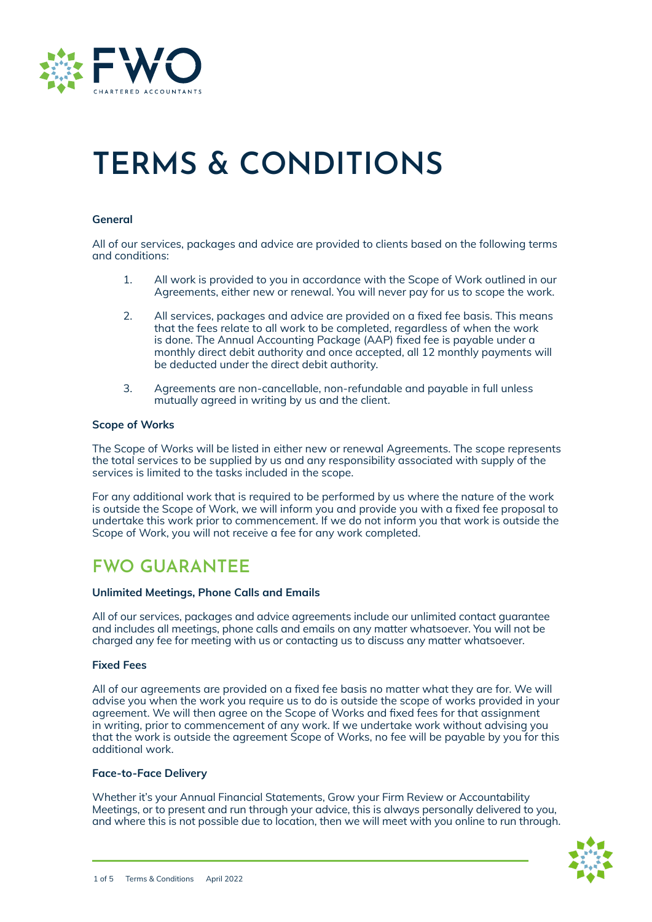

# **TERMS & CONDITIONS**

# **General**

All of our services, packages and advice are provided to clients based on the following terms and conditions:

- 1. All work is provided to you in accordance with the Scope of Work outlined in our Agreements, either new or renewal. You will never pay for us to scope the work.
- 2. All services, packages and advice are provided on a fixed fee basis. This means that the fees relate to all work to be completed, regardless of when the work is done. The Annual Accounting Package (AAP) fixed fee is payable under a monthly direct debit authority and once accepted, all 12 monthly payments will be deducted under the direct debit authority.
- 3. Agreements are non-cancellable, non-refundable and payable in full unless mutually agreed in writing by us and the client.

# **Scope of Works**

The Scope of Works will be listed in either new or renewal Agreements. The scope represents the total services to be supplied by us and any responsibility associated with supply of the services is limited to the tasks included in the scope.

For any additional work that is required to be performed by us where the nature of the work is outside the Scope of Work, we will inform you and provide you with a fixed fee proposal to undertake this work prior to commencement. If we do not inform you that work is outside the Scope of Work, you will not receive a fee for any work completed.

# **FWO GUARANTEE**

## **Unlimited Meetings, Phone Calls and Emails**

All of our services, packages and advice agreements include our unlimited contact guarantee and includes all meetings, phone calls and emails on any matter whatsoever. You will not be charged any fee for meeting with us or contacting us to discuss any matter whatsoever.

## **Fixed Fees**

All of our agreements are provided on a fixed fee basis no matter what they are for. We will advise you when the work you require us to do is outside the scope of works provided in your agreement. We will then agree on the Scope of Works and fixed fees for that assignment in writing, prior to commencement of any work. If we undertake work without advising you that the work is outside the agreement Scope of Works, no fee will be payable by you for this additional work.

### **Face-to-Face Delivery**

Whether it's your Annual Financial Statements, Grow your Firm Review or Accountability Meetings, or to present and run through your advice, this is always personally delivered to you, and where this is not possible due to location, then we will meet with you online to run through.

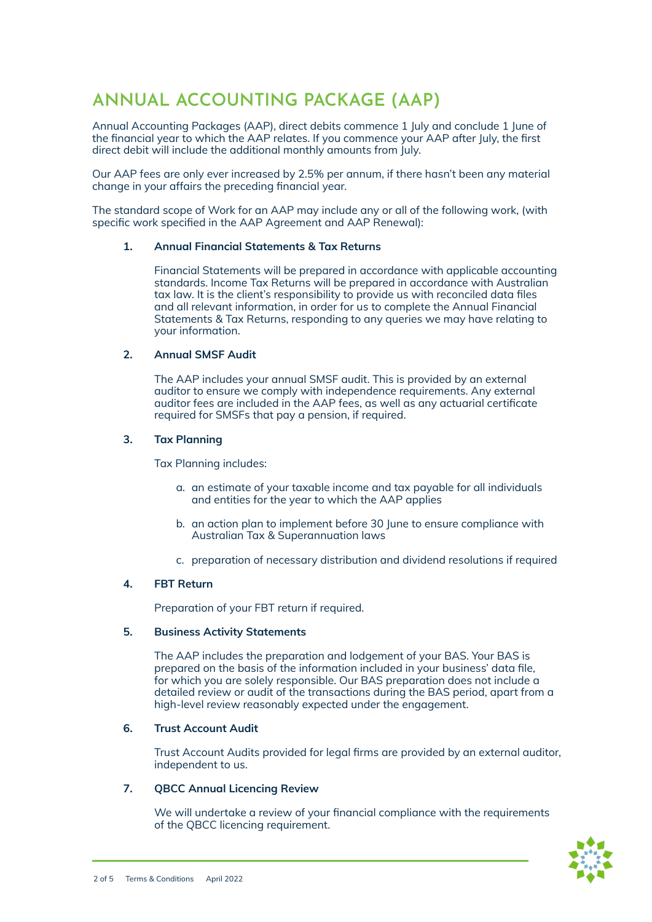# **ANNUAL ACCOUNTING PACKAGE (AAP)**

Annual Accounting Packages (AAP), direct debits commence 1 July and conclude 1 June of the financial year to which the AAP relates. If you commence your AAP after July, the first direct debit will include the additional monthly amounts from July.

Our AAP fees are only ever increased by 2.5% per annum, if there hasn't been any material change in your affairs the preceding financial year.

The standard scope of Work for an AAP may include any or all of the following work, (with specific work specified in the AAP Agreement and AAP Renewal):

# **1. Annual Financial Statements & Tax Returns**

Financial Statements will be prepared in accordance with applicable accounting standards. Income Tax Returns will be prepared in accordance with Australian tax law. It is the client's responsibility to provide us with reconciled data files and all relevant information, in order for us to complete the Annual Financial Statements & Tax Returns, responding to any queries we may have relating to your information.

# **2. Annual SMSF Audit**

The AAP includes your annual SMSF audit. This is provided by an external auditor to ensure we comply with independence requirements. Any external auditor fees are included in the AAP fees, as well as any actuarial certificate required for SMSFs that pay a pension, if required.

# **3. Tax Planning**

Tax Planning includes:

- a. an estimate of your taxable income and tax payable for all individuals and entities for the year to which the AAP applies
- b. an action plan to implement before 30 June to ensure compliance with Australian Tax & Superannuation laws
- c. preparation of necessary distribution and dividend resolutions if required

# **4. FBT Return**

Preparation of your FBT return if required.

# **5. Business Activity Statements**

The AAP includes the preparation and lodgement of your BAS. Your BAS is prepared on the basis of the information included in your business' data file, for which you are solely responsible. Our BAS preparation does not include a detailed review or audit of the transactions during the BAS period, apart from a high-level review reasonably expected under the engagement.

## **6. Trust Account Audit**

Trust Account Audits provided for legal firms are provided by an external auditor, independent to us.

# **7. QBCC Annual Licencing Review**

We will undertake a review of your financial compliance with the requirements of the QBCC licencing requirement.

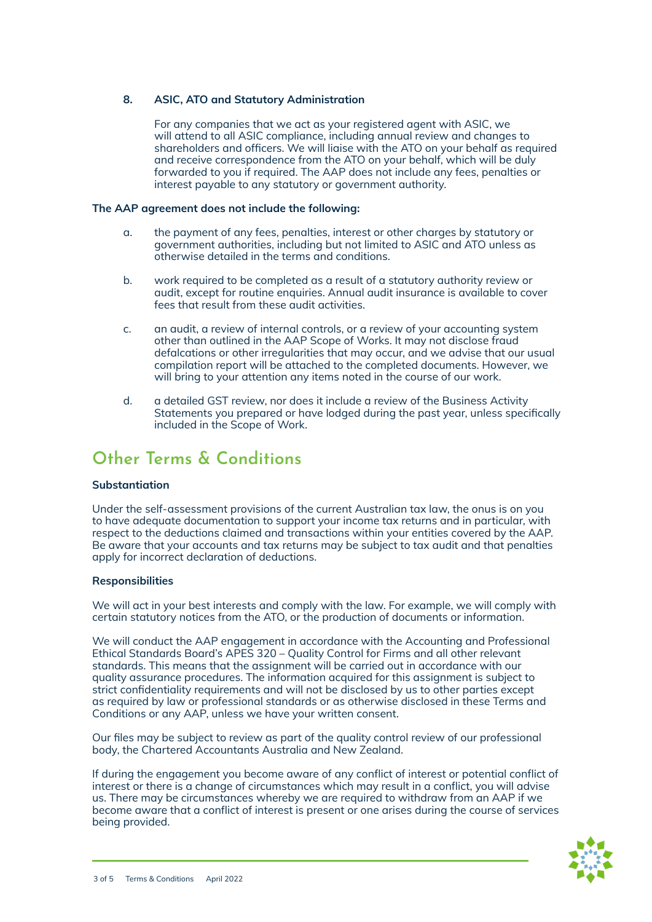# **8. ASIC, ATO and Statutory Administration**

For any companies that we act as your registered agent with ASIC, we will attend to all ASIC compliance, including annual review and changes to shareholders and officers. We will liaise with the ATO on your behalf as required and receive correspondence from the ATO on your behalf, which will be duly forwarded to you if required. The AAP does not include any fees, penalties or interest payable to any statutory or government authority.

# **The AAP agreement does not include the following:**

- a. the payment of any fees, penalties, interest or other charges by statutory or government authorities, including but not limited to ASIC and ATO unless as otherwise detailed in the terms and conditions.
- b. work required to be completed as a result of a statutory authority review or audit, except for routine enquiries. Annual audit insurance is available to cover fees that result from these audit activities.
- c. an audit, a review of internal controls, or a review of your accounting system other than outlined in the AAP Scope of Works. It may not disclose fraud defalcations or other irregularities that may occur, and we advise that our usual compilation report will be attached to the completed documents. However, we will bring to your attention any items noted in the course of our work.
- d. a detailed GST review, nor does it include a review of the Business Activity Statements you prepared or have lodged during the past year, unless specifically included in the Scope of Work.

# **Other Terms & Conditions**

# **Substantiation**

Under the self-assessment provisions of the current Australian tax law, the onus is on you to have adequate documentation to support your income tax returns and in particular, with respect to the deductions claimed and transactions within your entities covered by the AAP. Be aware that your accounts and tax returns may be subject to tax audit and that penalties apply for incorrect declaration of deductions.

## **Responsibilities**

We will act in your best interests and comply with the law. For example, we will comply with certain statutory notices from the ATO, or the production of documents or information.

We will conduct the AAP engagement in accordance with the Accounting and Professional Ethical Standards Board's APES 320 – Quality Control for Firms and all other relevant standards. This means that the assignment will be carried out in accordance with our quality assurance procedures. The information acquired for this assignment is subject to strict confidentiality requirements and will not be disclosed by us to other parties except as required by law or professional standards or as otherwise disclosed in these Terms and Conditions or any AAP, unless we have your written consent.

Our files may be subject to review as part of the quality control review of our professional body, the Chartered Accountants Australia and New Zealand.

If during the engagement you become aware of any conflict of interest or potential conflict of interest or there is a change of circumstances which may result in a conflict, you will advise us. There may be circumstances whereby we are required to withdraw from an AAP if we become aware that a conflict of interest is present or one arises during the course of services being provided.

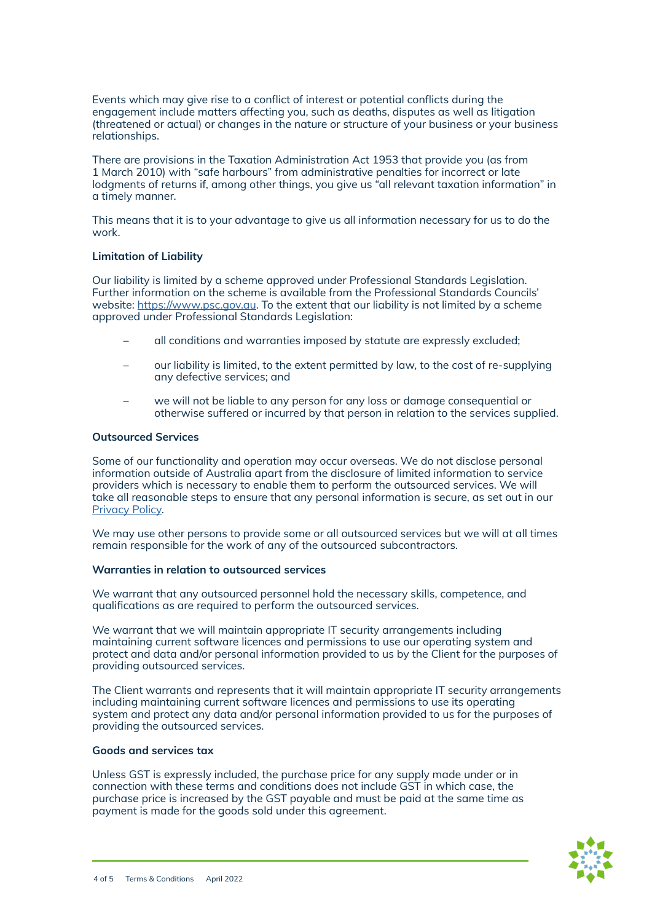Events which may give rise to a conflict of interest or potential conflicts during the engagement include matters affecting you, such as deaths, disputes as well as litigation (threatened or actual) or changes in the nature or structure of your business or your business relationships.

There are provisions in the Taxation Administration Act 1953 that provide you (as from 1 March 2010) with "safe harbours" from administrative penalties for incorrect or late lodgments of returns if, among other things, you give us "all relevant taxation information" in a timely manner.

This means that it is to your advantage to give us all information necessary for us to do the work.

## **Limitation of Liability**

Our liability is limited by a scheme approved under Professional Standards Legislation. Further information on the scheme is available from the Professional Standards Councils' website: [https://www.psc.gov.au.](https://www.psc.gov.au) To the extent that our liability is not limited by a scheme approved under Professional Standards Legislation:

- all conditions and warranties imposed by statute are expressly excluded;
- our liability is limited, to the extent permitted by law, to the cost of re-supplying any defective services; and
- we will not be liable to any person for any loss or damage consequential or otherwise suffered or incurred by that person in relation to the services supplied.

## **Outsourced Services**

Some of our functionality and operation may occur overseas. We do not disclose personal information outside of Australia apart from the disclosure of limited information to service providers which is necessary to enable them to perform the outsourced services. We will take all reasonable steps to ensure that any personal information is secure, as set out in our [Privacy Policy](https://fwoca.com.au/wp-content/uploads/2021/12/GrowFWO-Privacy-Policy.pdf).

We may use other persons to provide some or all outsourced services but we will at all times remain responsible for the work of any of the outsourced subcontractors.

## **Warranties in relation to outsourced services**

We warrant that any outsourced personnel hold the necessary skills, competence, and qualifications as are required to perform the outsourced services.

We warrant that we will maintain appropriate IT security arrangements including maintaining current software licences and permissions to use our operating system and protect and data and/or personal information provided to us by the Client for the purposes of providing outsourced services.

The Client warrants and represents that it will maintain appropriate IT security arrangements including maintaining current software licences and permissions to use its operating system and protect any data and/or personal information provided to us for the purposes of providing the outsourced services.

## **Goods and services tax**

Unless GST is expressly included, the purchase price for any supply made under or in connection with these terms and conditions does not include GST in which case, the purchase price is increased by the GST payable and must be paid at the same time as payment is made for the goods sold under this agreement.